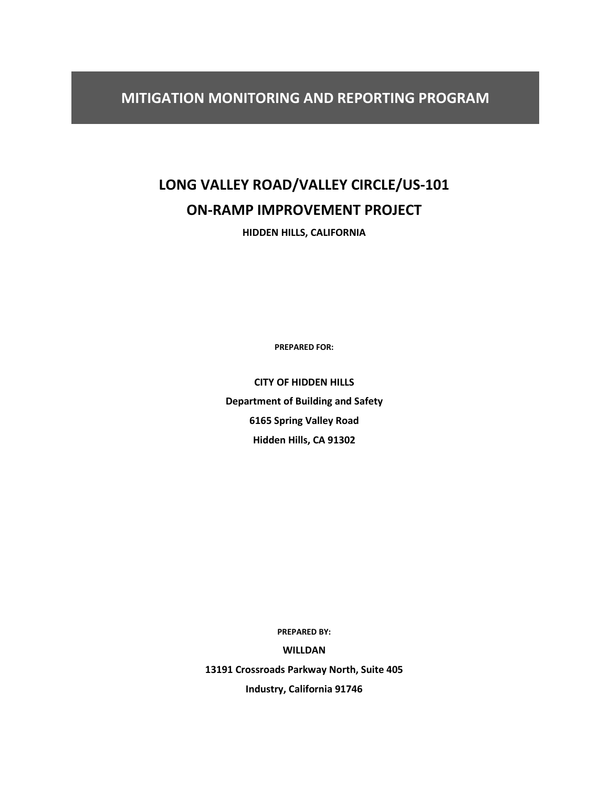# **LONG VALLEY ROAD/VALLEY CIRCLE/US-101 ON-RAMP IMPROVEMENT PROJECT**

**HIDDEN HILLS, CALIFORNIA**

**PREPARED FOR:**

**CITY OF HIDDEN HILLS Department of Building and Safety 6165 Spring Valley Road Hidden Hills, CA 91302**

**PREPARED BY:**

**WILLDAN**

**13191 Crossroads Parkway North, Suite 405**

**Industry, California 91746**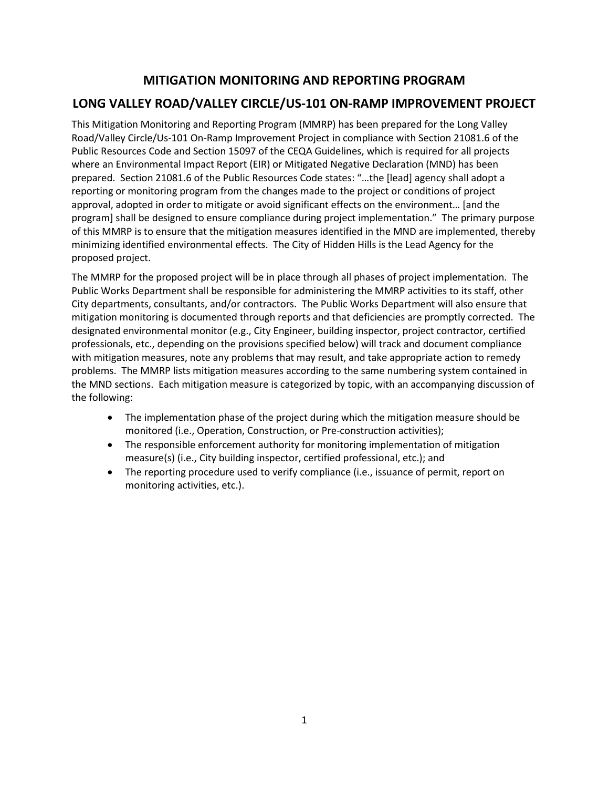## **MITIGATION MONITORING AND REPORTING PROGRAM LONG VALLEY ROAD/VALLEY CIRCLE/US-101 ON-RAMP IMPROVEMENT PROJECT**

This Mitigation Monitoring and Reporting Program (MMRP) has been prepared for the Long Valley Road/Valley Circle/Us-101 On-Ramp Improvement Project in compliance with Section 21081.6 of the Public Resources Code and Section 15097 of the CEQA Guidelines, which is required for all projects where an Environmental Impact Report (EIR) or Mitigated Negative Declaration (MND) has been prepared. Section 21081.6 of the Public Resources Code states: "…the [lead] agency shall adopt a reporting or monitoring program from the changes made to the project or conditions of project approval, adopted in order to mitigate or avoid significant effects on the environment… [and the program] shall be designed to ensure compliance during project implementation." The primary purpose of this MMRP is to ensure that the mitigation measures identified in the MND are implemented, thereby minimizing identified environmental effects. The City of Hidden Hills is the Lead Agency for the proposed project.

The MMRP for the proposed project will be in place through all phases of project implementation. The Public Works Department shall be responsible for administering the MMRP activities to its staff, other City departments, consultants, and/or contractors. The Public Works Department will also ensure that mitigation monitoring is documented through reports and that deficiencies are promptly corrected. The designated environmental monitor (e.g., City Engineer, building inspector, project contractor, certified professionals, etc., depending on the provisions specified below) will track and document compliance with mitigation measures, note any problems that may result, and take appropriate action to remedy problems. The MMRP lists mitigation measures according to the same numbering system contained in the MND sections. Each mitigation measure is categorized by topic, with an accompanying discussion of the following:

- The implementation phase of the project during which the mitigation measure should be monitored (i.e., Operation, Construction, or Pre-construction activities);
- The responsible enforcement authority for monitoring implementation of mitigation measure(s) (i.e., City building inspector, certified professional, etc.); and
- The reporting procedure used to verify compliance (i.e., issuance of permit, report on monitoring activities, etc.).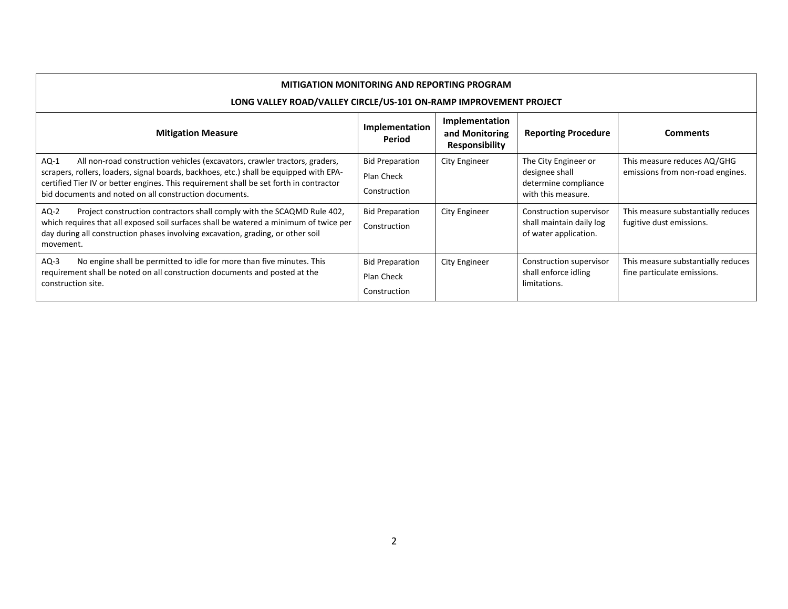| <b>MITIGATION MONITORING AND REPORTING PROGRAM</b><br>LONG VALLEY ROAD/VALLEY CIRCLE/US-101 ON-RAMP IMPROVEMENT PROJECT                                                                                                                                                                                                            |                                                      |                                                           |                                                                                      |                                                                   |
|------------------------------------------------------------------------------------------------------------------------------------------------------------------------------------------------------------------------------------------------------------------------------------------------------------------------------------|------------------------------------------------------|-----------------------------------------------------------|--------------------------------------------------------------------------------------|-------------------------------------------------------------------|
| <b>Mitigation Measure</b>                                                                                                                                                                                                                                                                                                          | Implementation<br>Period                             | Implementation<br>and Monitoring<br><b>Responsibility</b> | <b>Reporting Procedure</b>                                                           | <b>Comments</b>                                                   |
| $AQ-1$<br>All non-road construction vehicles (excavators, crawler tractors, graders,<br>scrapers, rollers, loaders, signal boards, backhoes, etc.) shall be equipped with EPA-<br>certified Tier IV or better engines. This requirement shall be set forth in contractor<br>bid documents and noted on all construction documents. | <b>Bid Preparation</b><br>Plan Check<br>Construction | City Engineer                                             | The City Engineer or<br>designee shall<br>determine compliance<br>with this measure. | This measure reduces AQ/GHG<br>emissions from non-road engines.   |
| Project construction contractors shall comply with the SCAQMD Rule 402,<br>$AQ-2$<br>which requires that all exposed soil surfaces shall be watered a minimum of twice per<br>day during all construction phases involving excavation, grading, or other soil<br>movement.                                                         | <b>Bid Preparation</b><br>Construction               | City Engineer                                             | Construction supervisor<br>shall maintain daily log<br>of water application.         | This measure substantially reduces<br>fugitive dust emissions.    |
| $AQ-3$<br>No engine shall be permitted to idle for more than five minutes. This<br>requirement shall be noted on all construction documents and posted at the<br>construction site.                                                                                                                                                | <b>Bid Preparation</b><br>Plan Check<br>Construction | City Engineer                                             | Construction supervisor<br>shall enforce idling<br>limitations.                      | This measure substantially reduces<br>fine particulate emissions. |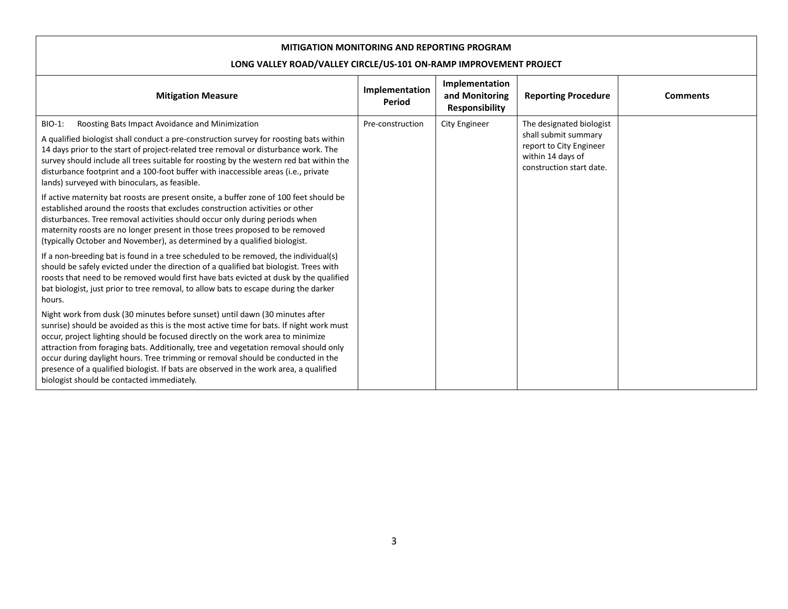| <b>Mitigation Measure</b>                                                                                                                                                                                                                                                                                                                                                                                                                                                                                                                                                     | Implementation<br>Period | Implementation<br>and Monitoring<br><b>Responsibility</b> | <b>Reporting Procedure</b> | <b>Comments</b> |  |  |               |                                                                                                                              |  |
|-------------------------------------------------------------------------------------------------------------------------------------------------------------------------------------------------------------------------------------------------------------------------------------------------------------------------------------------------------------------------------------------------------------------------------------------------------------------------------------------------------------------------------------------------------------------------------|--------------------------|-----------------------------------------------------------|----------------------------|-----------------|--|--|---------------|------------------------------------------------------------------------------------------------------------------------------|--|
| BIO-1:<br>Roosting Bats Impact Avoidance and Minimization<br>A qualified biologist shall conduct a pre-construction survey for roosting bats within<br>14 days prior to the start of project-related tree removal or disturbance work. The<br>survey should include all trees suitable for roosting by the western red bat within the<br>disturbance footprint and a 100-foot buffer with inaccessible areas (i.e., private<br>lands) surveyed with binoculars, as feasible.                                                                                                  | Pre-construction         |                                                           |                            |                 |  |  | City Engineer | The designated biologist<br>shall submit summary<br>report to City Engineer<br>within 14 days of<br>construction start date. |  |
| If active maternity bat roosts are present onsite, a buffer zone of 100 feet should be<br>established around the roosts that excludes construction activities or other<br>disturbances. Tree removal activities should occur only during periods when<br>maternity roosts are no longer present in those trees proposed to be removed<br>(typically October and November), as determined by a qualified biologist.                                                                                                                                                            |                          |                                                           |                            |                 |  |  |               |                                                                                                                              |  |
| If a non-breeding bat is found in a tree scheduled to be removed, the individual(s)<br>should be safely evicted under the direction of a qualified bat biologist. Trees with<br>roosts that need to be removed would first have bats evicted at dusk by the qualified<br>bat biologist, just prior to tree removal, to allow bats to escape during the darker<br>hours.                                                                                                                                                                                                       |                          |                                                           |                            |                 |  |  |               |                                                                                                                              |  |
| Night work from dusk (30 minutes before sunset) until dawn (30 minutes after<br>sunrise) should be avoided as this is the most active time for bats. If night work must<br>occur, project lighting should be focused directly on the work area to minimize<br>attraction from foraging bats. Additionally, tree and vegetation removal should only<br>occur during daylight hours. Tree trimming or removal should be conducted in the<br>presence of a qualified biologist. If bats are observed in the work area, a qualified<br>biologist should be contacted immediately. |                          |                                                           |                            |                 |  |  |               |                                                                                                                              |  |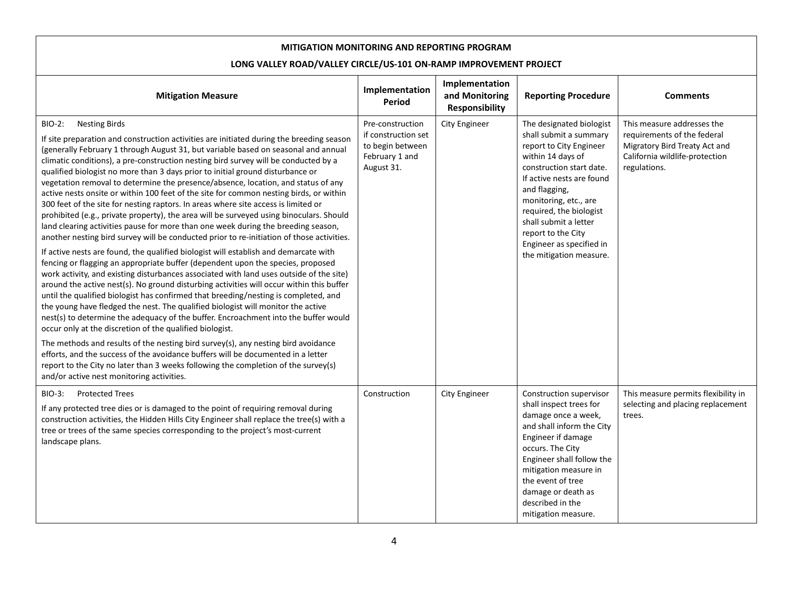| <b>Mitigation Measure</b>                                                                                                                                                                                                                                                                                                                                                                                                                                                                                                                                                                                                                                                                                                                                                                                                                                                                                                                                                                                                                                                                                                                                                                                                                                                                                                                                                                                                                                                                                                                                                                                                                                                                                                                                                                                                                                                                                                                                      | Implementation<br>Period                                                                    | Implementation<br>and Monitoring<br><b>Responsibility</b> | <b>Reporting Procedure</b>                                                                                                                                                                                                                                                                                                             | <b>Comments</b>                                                                                                                              |
|----------------------------------------------------------------------------------------------------------------------------------------------------------------------------------------------------------------------------------------------------------------------------------------------------------------------------------------------------------------------------------------------------------------------------------------------------------------------------------------------------------------------------------------------------------------------------------------------------------------------------------------------------------------------------------------------------------------------------------------------------------------------------------------------------------------------------------------------------------------------------------------------------------------------------------------------------------------------------------------------------------------------------------------------------------------------------------------------------------------------------------------------------------------------------------------------------------------------------------------------------------------------------------------------------------------------------------------------------------------------------------------------------------------------------------------------------------------------------------------------------------------------------------------------------------------------------------------------------------------------------------------------------------------------------------------------------------------------------------------------------------------------------------------------------------------------------------------------------------------------------------------------------------------------------------------------------------------|---------------------------------------------------------------------------------------------|-----------------------------------------------------------|----------------------------------------------------------------------------------------------------------------------------------------------------------------------------------------------------------------------------------------------------------------------------------------------------------------------------------------|----------------------------------------------------------------------------------------------------------------------------------------------|
| <b>BIO-2:</b><br><b>Nesting Birds</b><br>If site preparation and construction activities are initiated during the breeding season<br>(generally February 1 through August 31, but variable based on seasonal and annual<br>climatic conditions), a pre-construction nesting bird survey will be conducted by a<br>qualified biologist no more than 3 days prior to initial ground disturbance or<br>vegetation removal to determine the presence/absence, location, and status of any<br>active nests onsite or within 100 feet of the site for common nesting birds, or within<br>300 feet of the site for nesting raptors. In areas where site access is limited or<br>prohibited (e.g., private property), the area will be surveyed using binoculars. Should<br>land clearing activities pause for more than one week during the breeding season,<br>another nesting bird survey will be conducted prior to re-initiation of those activities.<br>If active nests are found, the qualified biologist will establish and demarcate with<br>fencing or flagging an appropriate buffer (dependent upon the species, proposed<br>work activity, and existing disturbances associated with land uses outside of the site)<br>around the active nest(s). No ground disturbing activities will occur within this buffer<br>until the qualified biologist has confirmed that breeding/nesting is completed, and<br>the young have fledged the nest. The qualified biologist will monitor the active<br>nest(s) to determine the adequacy of the buffer. Encroachment into the buffer would<br>occur only at the discretion of the qualified biologist.<br>The methods and results of the nesting bird survey(s), any nesting bird avoidance<br>efforts, and the success of the avoidance buffers will be documented in a letter<br>report to the City no later than 3 weeks following the completion of the survey(s)<br>and/or active nest monitoring activities. | Pre-construction<br>if construction set<br>to begin between<br>February 1 and<br>August 31. | <b>City Engineer</b>                                      | The designated biologist<br>shall submit a summary<br>report to City Engineer<br>within 14 days of<br>construction start date.<br>If active nests are found<br>and flagging,<br>monitoring, etc., are<br>required, the biologist<br>shall submit a letter<br>report to the City<br>Engineer as specified in<br>the mitigation measure. | This measure addresses the<br>requirements of the federal<br>Migratory Bird Treaty Act and<br>California wildlife-protection<br>regulations. |
| <b>Protected Trees</b><br>BIO-3:<br>If any protected tree dies or is damaged to the point of requiring removal during<br>construction activities, the Hidden Hills City Engineer shall replace the tree(s) with a<br>tree or trees of the same species corresponding to the project's most-current<br>landscape plans.                                                                                                                                                                                                                                                                                                                                                                                                                                                                                                                                                                                                                                                                                                                                                                                                                                                                                                                                                                                                                                                                                                                                                                                                                                                                                                                                                                                                                                                                                                                                                                                                                                         | Construction                                                                                | <b>City Engineer</b>                                      | Construction supervisor<br>shall inspect trees for<br>damage once a week,<br>and shall inform the City<br>Engineer if damage<br>occurs. The City<br>Engineer shall follow the<br>mitigation measure in<br>the event of tree<br>damage or death as<br>described in the<br>mitigation measure.                                           | This measure permits flexibility in<br>selecting and placing replacement<br>trees.                                                           |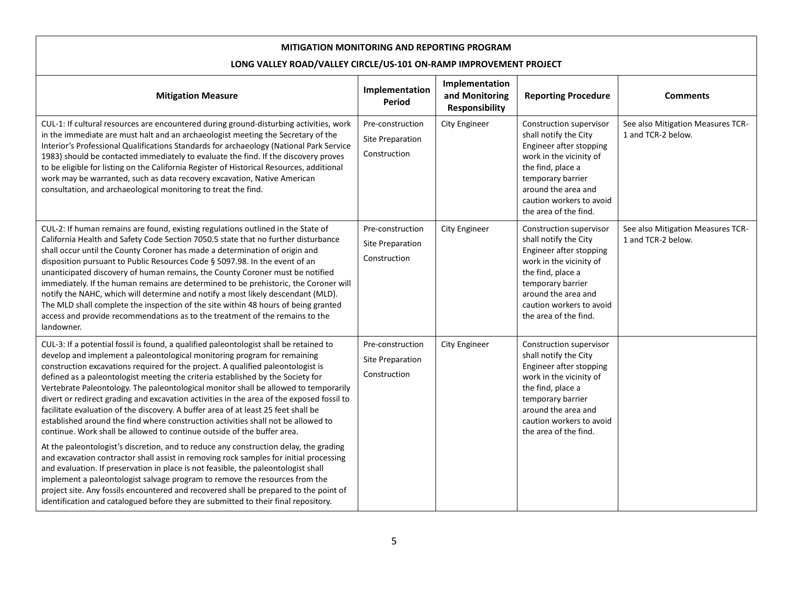| <b>Mitigation Measure</b>                                                                                                                                                                                                                                                                                                                                                                                                                                                                                                                                                                                                                                                                                                                                                                                                                                                     | Implementation<br>Period                                    | Implementation<br>and Monitoring<br>Responsibility | <b>Reporting Procedure</b>                                                                                                                                                                                                   | <b>Comments</b>                                         |
|-------------------------------------------------------------------------------------------------------------------------------------------------------------------------------------------------------------------------------------------------------------------------------------------------------------------------------------------------------------------------------------------------------------------------------------------------------------------------------------------------------------------------------------------------------------------------------------------------------------------------------------------------------------------------------------------------------------------------------------------------------------------------------------------------------------------------------------------------------------------------------|-------------------------------------------------------------|----------------------------------------------------|------------------------------------------------------------------------------------------------------------------------------------------------------------------------------------------------------------------------------|---------------------------------------------------------|
| CUL-1: If cultural resources are encountered during ground-disturbing activities, work<br>in the immediate are must halt and an archaeologist meeting the Secretary of the<br>Interior's Professional Qualifications Standards for archaeology (National Park Service<br>1983) should be contacted immediately to evaluate the find. If the discovery proves<br>to be eligible for listing on the California Register of Historical Resources, additional<br>work may be warranted, such as data recovery excavation, Native American<br>consultation, and archaeological monitoring to treat the find.                                                                                                                                                                                                                                                                       | Pre-construction<br><b>Site Preparation</b><br>Construction | <b>City Engineer</b>                               | Construction supervisor<br>shall notify the City<br>Engineer after stopping<br>work in the vicinity of<br>the find, place a<br>temporary barrier<br>around the area and<br>caution workers to avoid<br>the area of the find. | See also Mitigation Measures TCR-<br>1 and TCR-2 below. |
| CUL-2: If human remains are found, existing regulations outlined in the State of<br>California Health and Safety Code Section 7050.5 state that no further disturbance<br>shall occur until the County Coroner has made a determination of origin and<br>disposition pursuant to Public Resources Code § 5097.98. In the event of an<br>unanticipated discovery of human remains, the County Coroner must be notified<br>immediately. If the human remains are determined to be prehistoric, the Coroner will<br>notify the NAHC, which will determine and notify a most likely descendant (MLD).<br>The MLD shall complete the inspection of the site within 48 hours of being granted<br>access and provide recommendations as to the treatment of the remains to the<br>landowner.                                                                                         | Pre-construction<br><b>Site Preparation</b><br>Construction | <b>City Engineer</b>                               | Construction supervisor<br>shall notify the City<br>Engineer after stopping<br>work in the vicinity of<br>the find, place a<br>temporary barrier<br>around the area and<br>caution workers to avoid<br>the area of the find. | See also Mitigation Measures TCR-<br>1 and TCR-2 below. |
| CUL-3: If a potential fossil is found, a qualified paleontologist shall be retained to<br>develop and implement a paleontological monitoring program for remaining<br>construction excavations required for the project. A qualified paleontologist is<br>defined as a paleontologist meeting the criteria established by the Society for<br>Vertebrate Paleontology. The paleontological monitor shall be allowed to temporarily<br>divert or redirect grading and excavation activities in the area of the exposed fossil to<br>facilitate evaluation of the discovery. A buffer area of at least 25 feet shall be<br>established around the find where construction activities shall not be allowed to<br>continue. Work shall be allowed to continue outside of the buffer area.<br>At the paleontologist's discretion, and to reduce any construction delay, the grading | Pre-construction<br>Site Preparation<br>Construction        | City Engineer                                      | Construction supervisor<br>shall notify the City<br>Engineer after stopping<br>work in the vicinity of<br>the find, place a<br>temporary barrier<br>around the area and<br>caution workers to avoid<br>the area of the find. |                                                         |
| and excavation contractor shall assist in removing rock samples for initial processing<br>and evaluation. If preservation in place is not feasible, the paleontologist shall<br>implement a paleontologist salvage program to remove the resources from the<br>project site. Any fossils encountered and recovered shall be prepared to the point of<br>identification and catalogued before they are submitted to their final repository.                                                                                                                                                                                                                                                                                                                                                                                                                                    |                                                             |                                                    |                                                                                                                                                                                                                              |                                                         |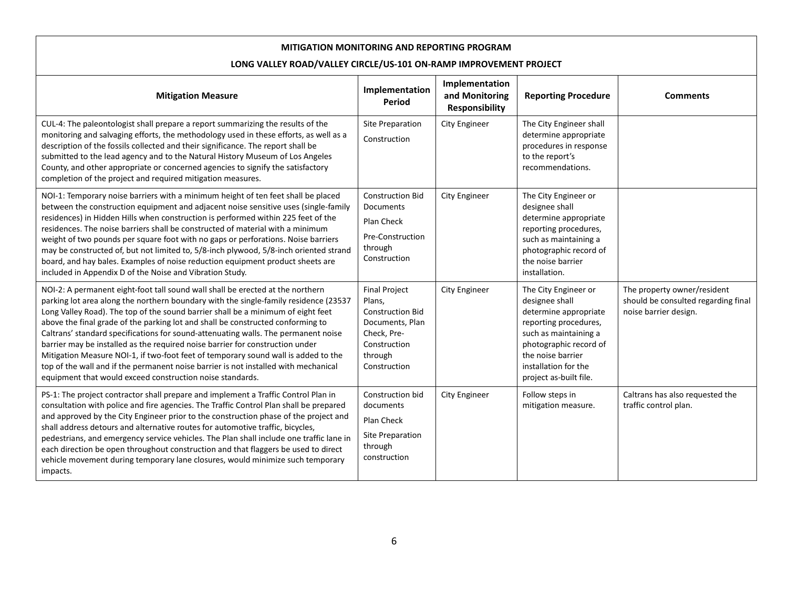| <b>Mitigation Measure</b>                                                                                                                                                                                                                                                                                                                                                                                                                                                                                                                                                                                                                                                                                                                                      | Implementation<br>Period                                                                                                               | Implementation<br>and Monitoring<br>Responsibility | <b>Reporting Procedure</b>                                                                                                                                                                                         | <b>Comments</b>                                                                             |
|----------------------------------------------------------------------------------------------------------------------------------------------------------------------------------------------------------------------------------------------------------------------------------------------------------------------------------------------------------------------------------------------------------------------------------------------------------------------------------------------------------------------------------------------------------------------------------------------------------------------------------------------------------------------------------------------------------------------------------------------------------------|----------------------------------------------------------------------------------------------------------------------------------------|----------------------------------------------------|--------------------------------------------------------------------------------------------------------------------------------------------------------------------------------------------------------------------|---------------------------------------------------------------------------------------------|
| CUL-4: The paleontologist shall prepare a report summarizing the results of the<br>monitoring and salvaging efforts, the methodology used in these efforts, as well as a<br>description of the fossils collected and their significance. The report shall be<br>submitted to the lead agency and to the Natural History Museum of Los Angeles<br>County, and other appropriate or concerned agencies to signify the satisfactory<br>completion of the project and required mitigation measures.                                                                                                                                                                                                                                                                | Site Preparation<br>Construction                                                                                                       | <b>City Engineer</b>                               | The City Engineer shall<br>determine appropriate<br>procedures in response<br>to the report's<br>recommendations.                                                                                                  |                                                                                             |
| NOI-1: Temporary noise barriers with a minimum height of ten feet shall be placed<br>between the construction equipment and adjacent noise sensitive uses (single-family<br>residences) in Hidden Hills when construction is performed within 225 feet of the<br>residences. The noise barriers shall be constructed of material with a minimum<br>weight of two pounds per square foot with no gaps or perforations. Noise barriers<br>may be constructed of, but not limited to, 5/8-inch plywood, 5/8-inch oriented strand<br>board, and hay bales. Examples of noise reduction equipment product sheets are<br>included in Appendix D of the Noise and Vibration Study.                                                                                    | <b>Construction Bid</b><br>Documents<br>Plan Check<br>Pre-Construction<br>through<br>Construction                                      | <b>City Engineer</b>                               | The City Engineer or<br>designee shall<br>determine appropriate<br>reporting procedures,<br>such as maintaining a<br>photographic record of<br>the noise barrier<br>installation.                                  |                                                                                             |
| NOI-2: A permanent eight-foot tall sound wall shall be erected at the northern<br>parking lot area along the northern boundary with the single-family residence (23537<br>Long Valley Road). The top of the sound barrier shall be a minimum of eight feet<br>above the final grade of the parking lot and shall be constructed conforming to<br>Caltrans' standard specifications for sound-attenuating walls. The permanent noise<br>barrier may be installed as the required noise barrier for construction under<br>Mitigation Measure NOI-1, if two-foot feet of temporary sound wall is added to the<br>top of the wall and if the permanent noise barrier is not installed with mechanical<br>equipment that would exceed construction noise standards. | <b>Final Project</b><br>Plans,<br><b>Construction Bid</b><br>Documents, Plan<br>Check, Pre-<br>Construction<br>through<br>Construction | <b>City Engineer</b>                               | The City Engineer or<br>designee shall<br>determine appropriate<br>reporting procedures,<br>such as maintaining a<br>photographic record of<br>the noise barrier<br>installation for the<br>project as-built file. | The property owner/resident<br>should be consulted regarding final<br>noise barrier design. |
| PS-1: The project contractor shall prepare and implement a Traffic Control Plan in<br>consultation with police and fire agencies. The Traffic Control Plan shall be prepared<br>and approved by the City Engineer prior to the construction phase of the project and<br>shall address detours and alternative routes for automotive traffic, bicycles,<br>pedestrians, and emergency service vehicles. The Plan shall include one traffic lane in<br>each direction be open throughout construction and that flaggers be used to direct<br>vehicle movement during temporary lane closures, would minimize such temporary<br>impacts.                                                                                                                          | Construction bid<br>documents<br>Plan Check<br>Site Preparation<br>through<br>construction                                             | <b>City Engineer</b>                               | Follow steps in<br>mitigation measure.                                                                                                                                                                             | Caltrans has also requested the<br>traffic control plan.                                    |